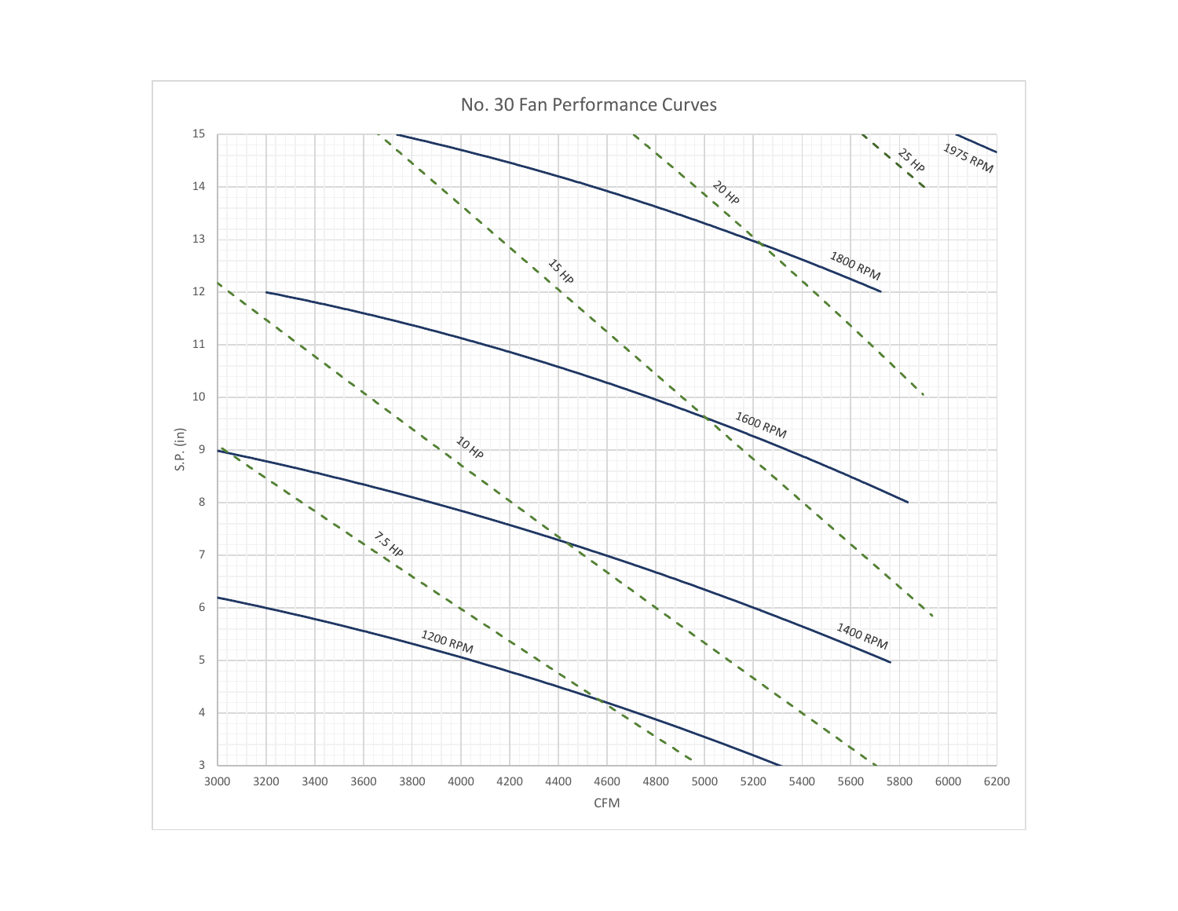